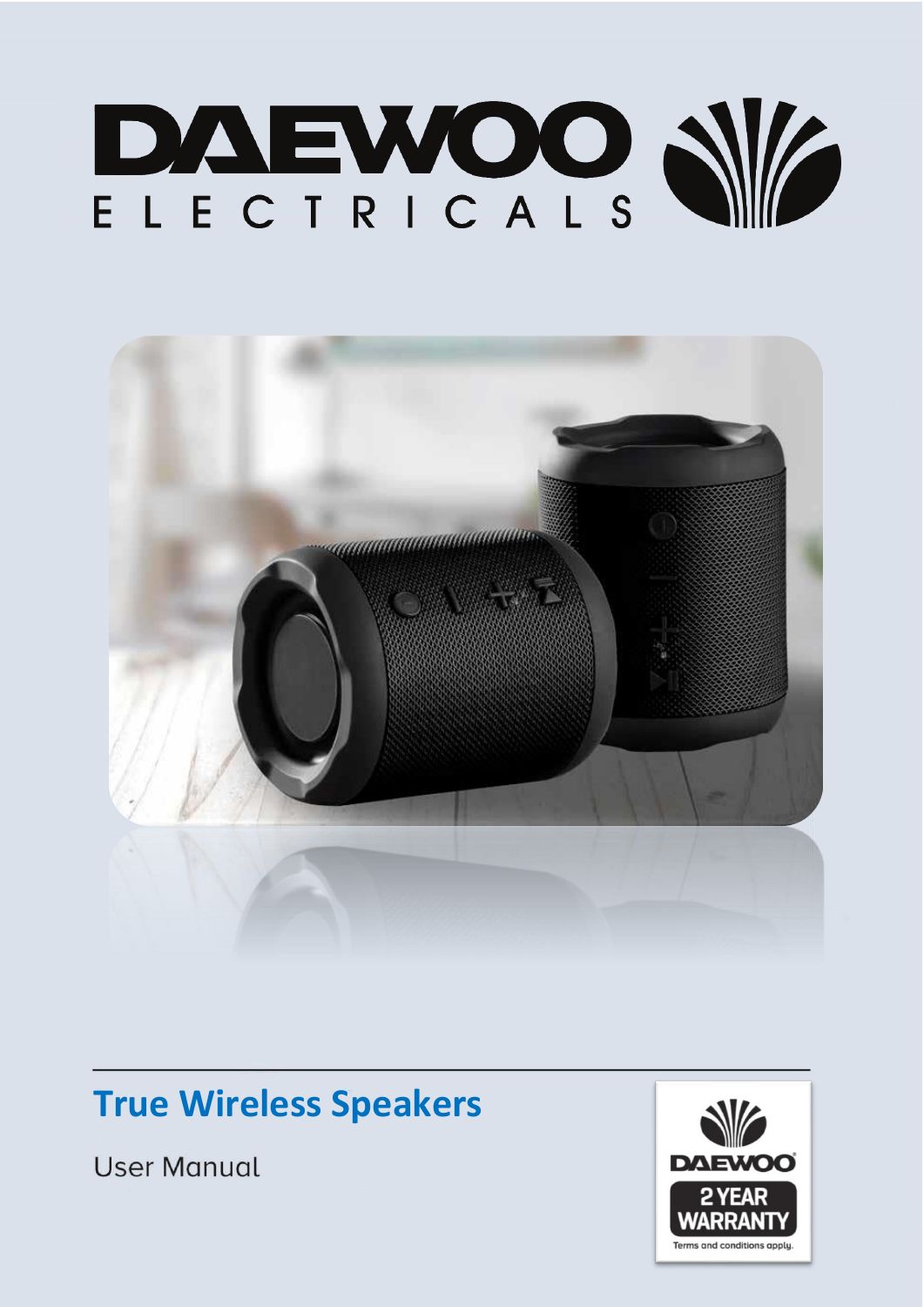



# **True Wireless Speakers**

**User Manual** 

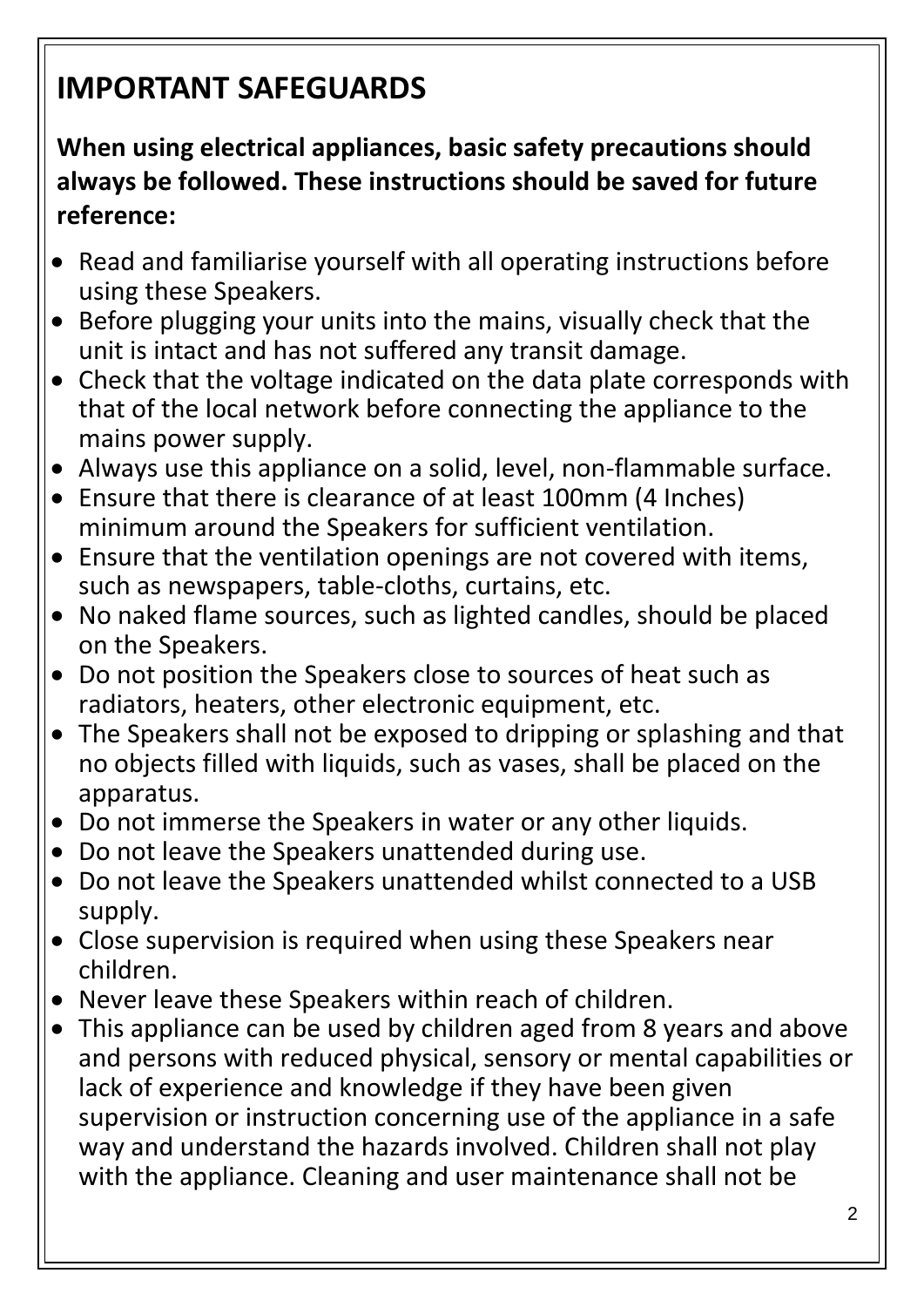# **IMPORTANT SAFEGUARDS**

# **When using electrical appliances, basic safety precautions should always be followed. These instructions should be saved for future reference:**

- Read and familiarise yourself with all operating instructions before using these Speakers.
- Before plugging your units into the mains, visually check that the unit is intact and has not suffered any transit damage.
- Check that the voltage indicated on the data plate corresponds with that of the local network before connecting the appliance to the mains power supply.
- Always use this appliance on a solid, level, non-flammable surface.
- Ensure that there is clearance of at least 100mm (4 Inches) minimum around the Speakers for sufficient ventilation.
- Ensure that the ventilation openings are not covered with items, such as newspapers, table-cloths, curtains, etc.
- No naked flame sources, such as lighted candles, should be placed on the Speakers.
- Do not position the Speakers close to sources of heat such as radiators, heaters, other electronic equipment, etc.
- The Speakers shall not be exposed to dripping or splashing and that no objects filled with liquids, such as vases, shall be placed on the apparatus.
- Do not immerse the Speakers in water or any other liquids.
- Do not leave the Speakers unattended during use.
- Do not leave the Speakers unattended whilst connected to a USB supply.
- Close supervision is required when using these Speakers near children.
- Never leave these Speakers within reach of children.
- This appliance can be used by children aged from 8 years and above and persons with reduced physical, sensory or mental capabilities or lack of experience and knowledge if they have been given supervision or instruction concerning use of the appliance in a safe way and understand the hazards involved. Children shall not play with the appliance. Cleaning and user maintenance shall not be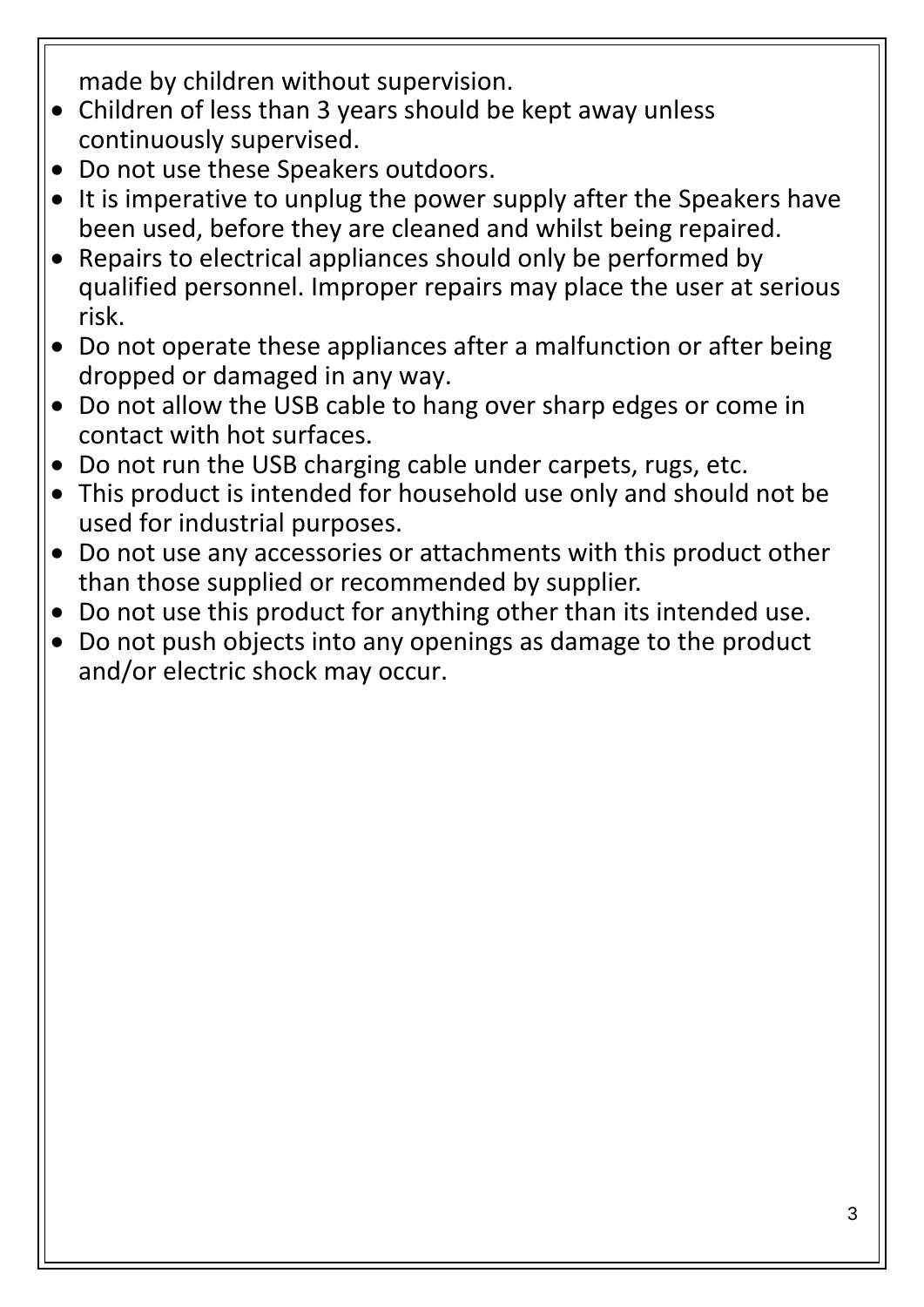made by children without supervision.

- Children of less than 3 years should be kept away unless continuously supervised.
- Do not use these Speakers outdoors.
- It is imperative to unplug the power supply after the Speakers have been used, before they are cleaned and whilst being repaired.
- Repairs to electrical appliances should only be performed by qualified personnel. Improper repairs may place the user at serious risk.
- Do not operate these appliances after a malfunction or after being dropped or damaged in any way.
- Do not allow the USB cable to hang over sharp edges or come in contact with hot surfaces.
- Do not run the USB charging cable under carpets, rugs, etc.
- This product is intended for household use only and should not be used for industrial purposes.
- Do not use any accessories or attachments with this product other than those supplied or recommended by supplier.
- Do not use this product for anything other than its intended use.
- Do not push objects into any openings as damage to the product and/or electric shock may occur.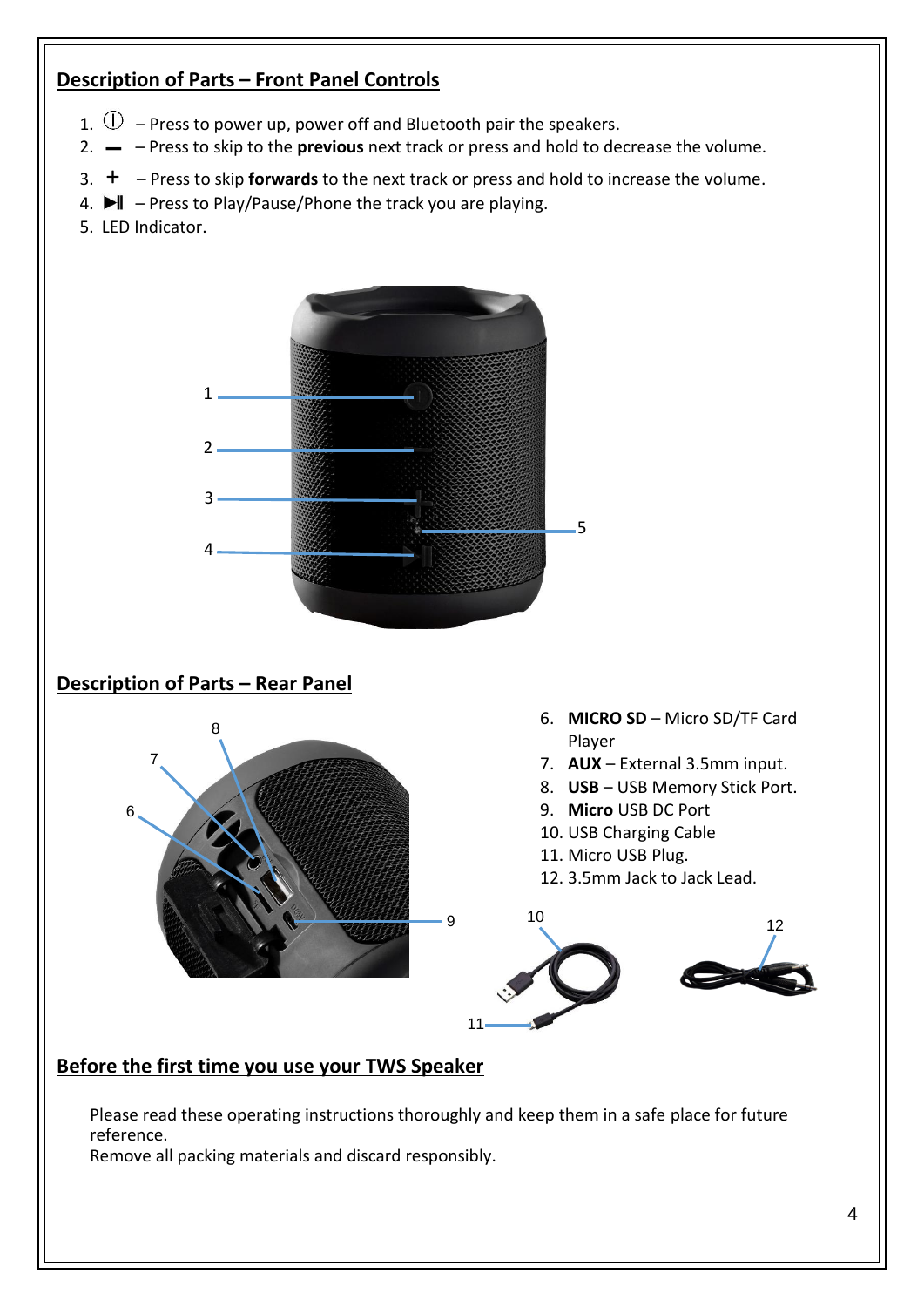## **Description of Parts – Front Panel Controls**

- 1.  $\mathbb{U}$  Press to power up, power off and Bluetooth pair the speakers.
- 2. ▬ Press to skip to the **previous** next track or press and hold to decrease the volume.
- 3. + Press to skip **forwards** to the next track or press and hold to increase the volume.
- 4.  $\blacktriangleright$   $\blacktriangleright$  Press to Play/Pause/Phone the track you are playing.
- 5. LED Indicator.



Please read these operating instructions thoroughly and keep them in a safe place for future reference.

Remove all packing materials and discard responsibly.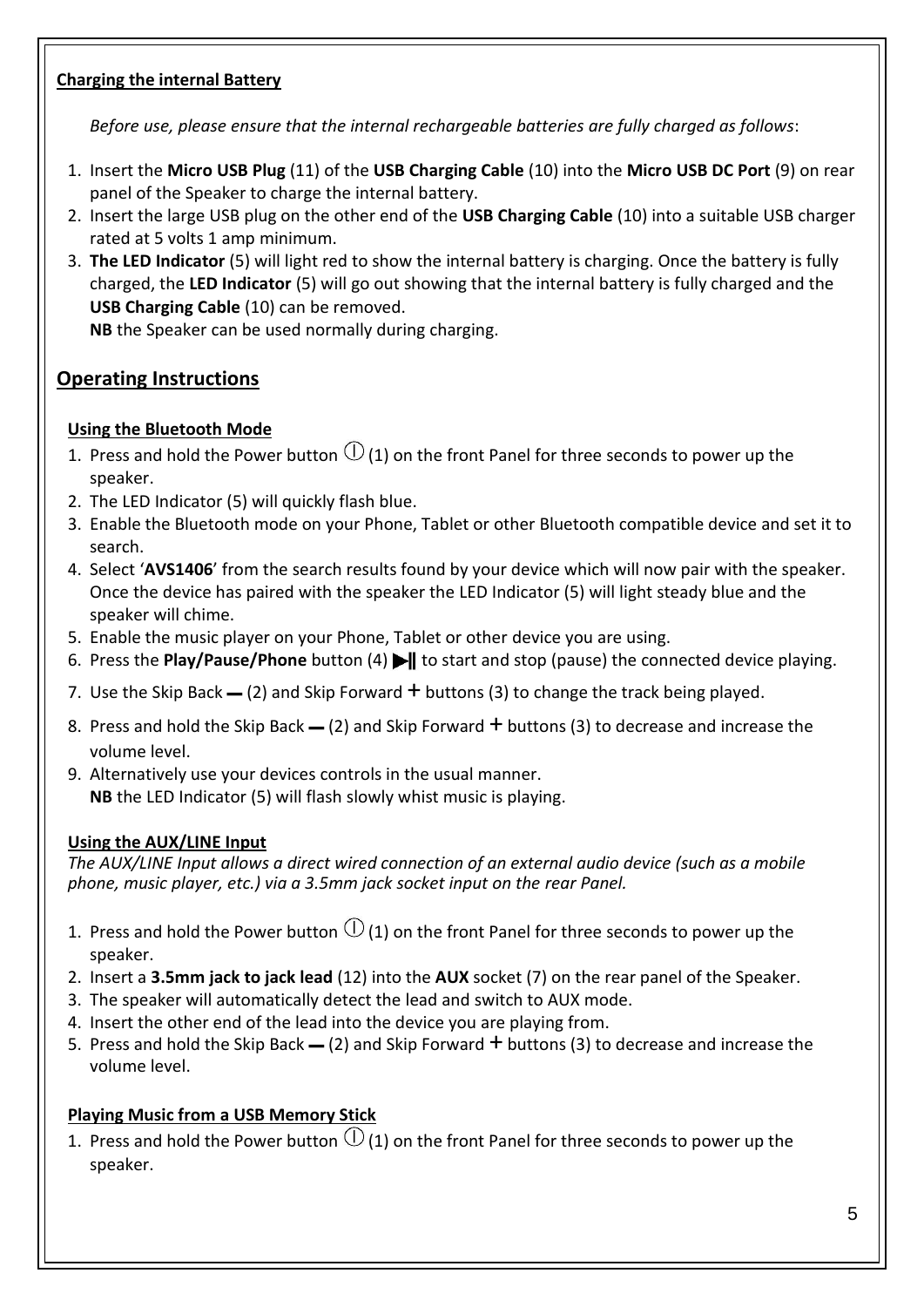#### **Charging the internal Battery**

*Before use, please ensure that the internal rechargeable batteries are fully charged as follows*:

- 1. Insert the **Micro USB Plug** (11) of the **USB Charging Cable** (10) into the **Micro USB DC Port** (9) on rear panel of the Speaker to charge the internal battery.
- 2. Insert the large USB plug on the other end of the **USB Charging Cable** (10) into a suitable USB charger rated at 5 volts 1 amp minimum.
- 3. **The LED Indicator** (5) will light red to show the internal battery is charging. Once the battery is fully charged, the **LED Indicator** (5) will go out showing that the internal battery is fully charged and the **USB Charging Cable** (10) can be removed.

**NB** the Speaker can be used normally during charging.

# **Operating Instructions**

#### **Using the Bluetooth Mode**

- 1. Press and hold the Power button  $\mathbb O$  (1) on the front Panel for three seconds to power up the speaker.
- 2. The LED Indicator (5) will quickly flash blue.
- 3. Enable the Bluetooth mode on your Phone, Tablet or other Bluetooth compatible device and set it to search.
- 4. Select '**AVS1406**' from the search results found by your device which will now pair with the speaker. Once the device has paired with the speaker the LED Indicator (5) will light steady blue and the speaker will chime.
- 5. Enable the music player on your Phone, Tablet or other device you are using.
- 6. Press the **Play/Pause/Phone** button (4) I to start and stop (pause) the connected device playing.
- 7. Use the Skip Back  $-$  (2) and Skip Forward  $+$  buttons (3) to change the track being played.
- 8. Press and hold the Skip Back  $-$  (2) and Skip Forward  $+$  buttons (3) to decrease and increase the volume level.
- 9. Alternatively use your devices controls in the usual manner. **NB** the LED Indicator (5) will flash slowly whist music is playing.

#### **Using the AUX/LINE Input**

*The AUX/LINE Input allows a direct wired connection of an external audio device (such as a mobile phone, music player, etc.) via a 3.5mm jack socket input on the rear Panel.*

- 1. Press and hold the Power button  $\mathbb O$  (1) on the front Panel for three seconds to power up the speaker.
- 2. Insert a **3.5mm jack to jack lead** (12) into the **AUX** socket (7) on the rear panel of the Speaker.
- 3. The speaker will automatically detect the lead and switch to AUX mode.
- 4. Insert the other end of the lead into the device you are playing from.
- 5. Press and hold the Skip Back  $-$  (2) and Skip Forward  $+$  buttons (3) to decrease and increase the volume level.

## **Playing Music from a USB Memory Stick**

1. Press and hold the Power button  $\mathbb U$  (1) on the front Panel for three seconds to power up the speaker.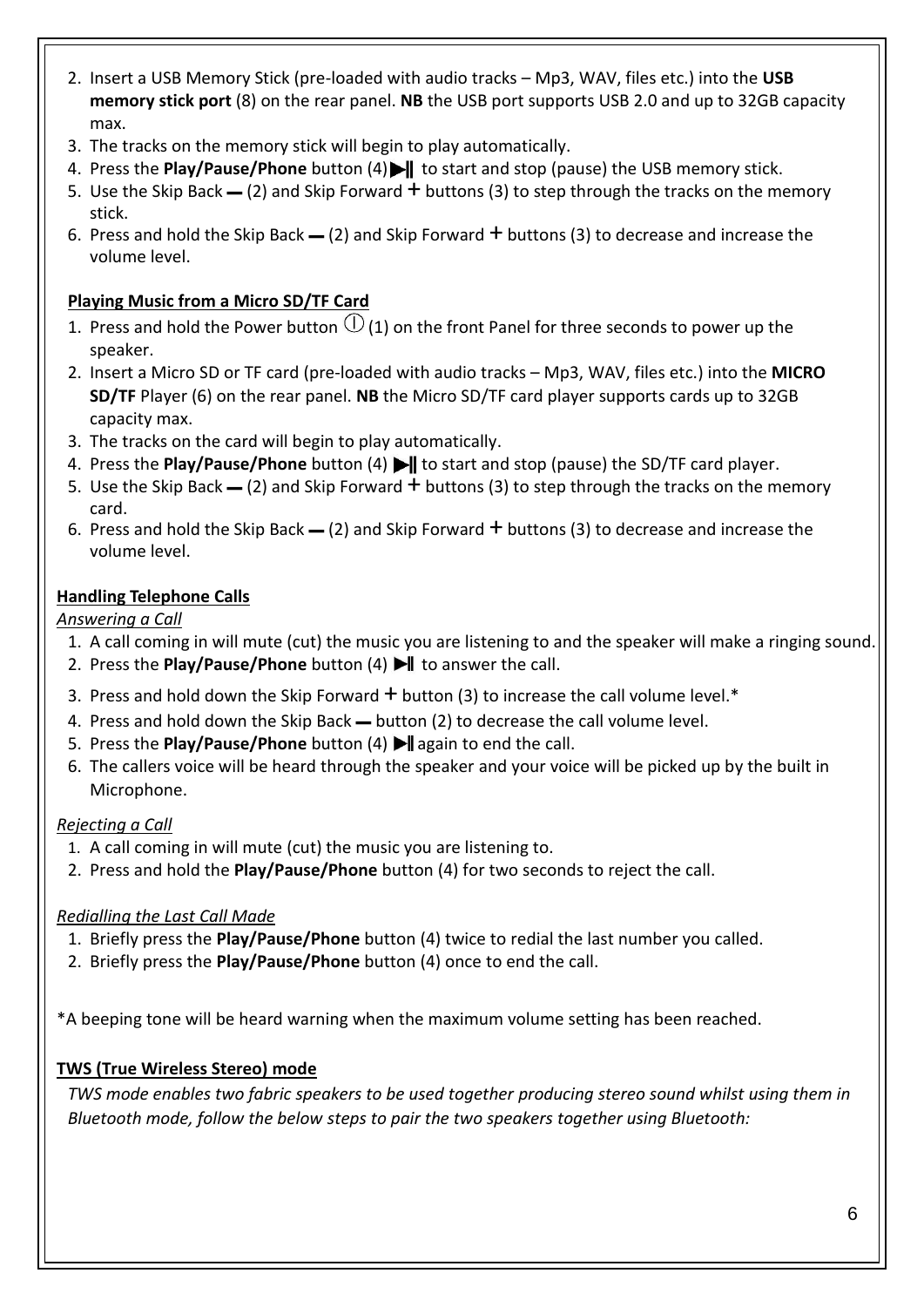- 2. Insert a USB Memory Stick (pre-loaded with audio tracks Mp3, WAV, files etc.) into the **USB memory stick port** (8) on the rear panel. **NB** the USB port supports USB 2.0 and up to 32GB capacity max.
- 3. The tracks on the memory stick will begin to play automatically.
- 4. Press the **Play/Pause/Phone** button (4) **I** to start and stop (pause) the USB memory stick.
- 5. Use the Skip Back  $=$  (2) and Skip Forward  $+$  buttons (3) to step through the tracks on the memory stick.
- 6. Press and hold the Skip Back  $-$  (2) and Skip Forward  $+$  buttons (3) to decrease and increase the volume level.

#### **Playing Music from a Micro SD/TF Card**

- 1. Press and hold the Power button  $\mathbb{O}$  (1) on the front Panel for three seconds to power up the speaker.
- 2. Insert a Micro SD or TF card (pre-loaded with audio tracks Mp3, WAV, files etc.) into the **MICRO SD/TF** Player (6) on the rear panel. **NB** the Micro SD/TF card player supports cards up to 32GB capacity max.
- 3. The tracks on the card will begin to play automatically.
- 4. Press the **Play/Pause/Phone** button (4) **I** to start and stop (pause) the SD/TF card player.
- 5. Use the Skip Back  $=$  (2) and Skip Forward  $+$  buttons (3) to step through the tracks on the memory card.
- 6. Press and hold the Skip Back  $-$  (2) and Skip Forward  $+$  buttons (3) to decrease and increase the volume level.

#### **Handling Telephone Calls**

*Answering a Call*

- 1. A call coming in will mute (cut) the music you are listening to and the speaker will make a ringing sound.
- 2. Press the **Play/Pause/Phone** button (4)  $\blacktriangleright$  to answer the call.
- 3. Press and hold down the Skip Forward  $+$  button (3) to increase the call volume level.\*
- 4. Press and hold down the Skip Back button (2) to decrease the call volume level.
- 5. Press the **Play/Pause/Phone** button (4) I again to end the call.
- 6. The callers voice will be heard through the speaker and your voice will be picked up by the built in Microphone.

#### *Rejecting a Call*

- 1. A call coming in will mute (cut) the music you are listening to.
- 2. Press and hold the **Play/Pause/Phone** button (4) for two seconds to reject the call.

#### *Redialling the Last Call Made*

- 1. Briefly press the **Play/Pause/Phone** button (4) twice to redial the last number you called.
- 2. Briefly press the **Play/Pause/Phone** button (4) once to end the call.

\*A beeping tone will be heard warning when the maximum volume setting has been reached.

#### **TWS (True Wireless Stereo) mode**

*TWS mode enables two fabric speakers to be used together producing stereo sound whilst using them in Bluetooth mode, follow the below steps to pair the two speakers together using Bluetooth:*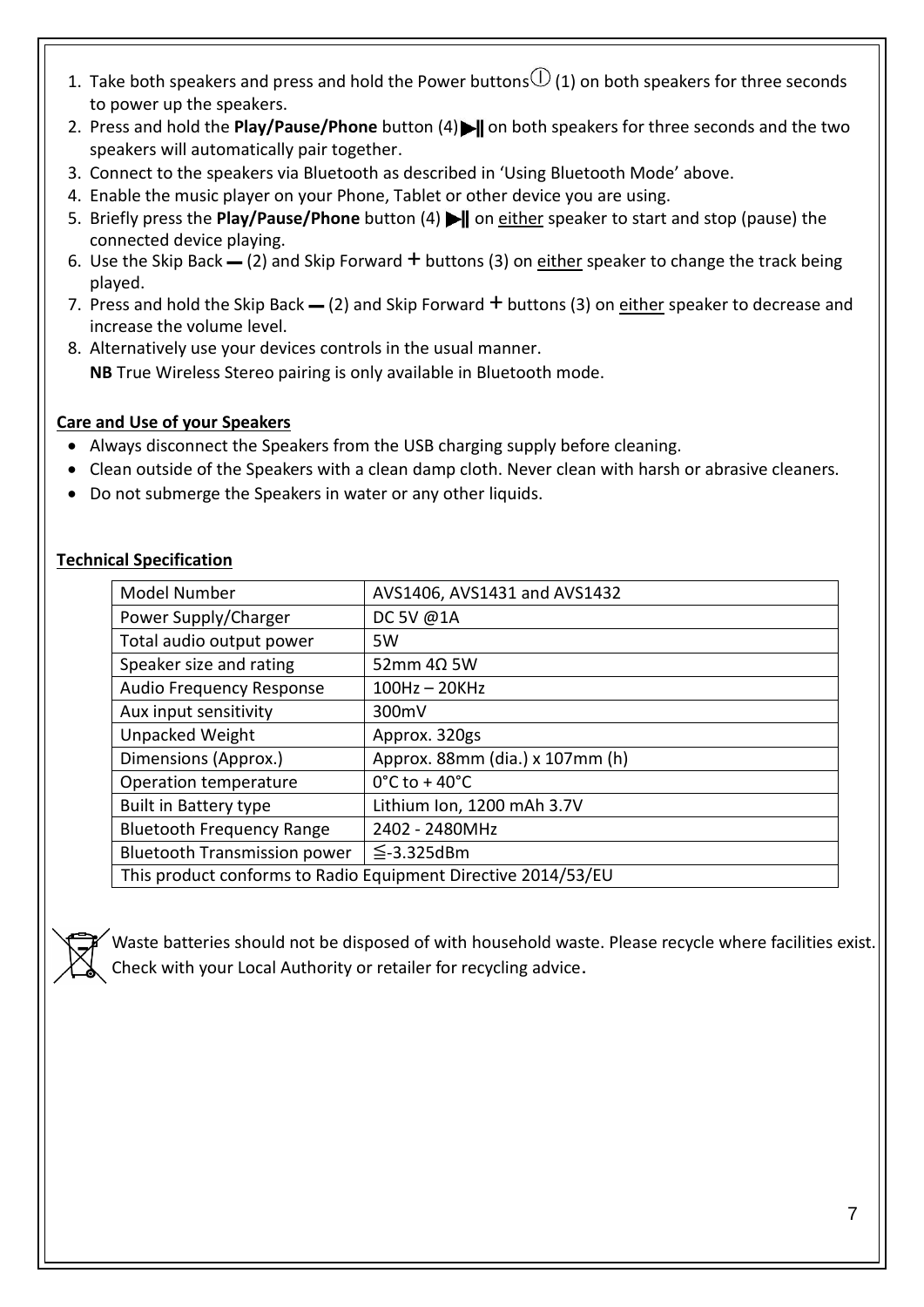- 1. Take both speakers and press and hold the Power buttons  $\mathbb O$  (1) on both speakers for three seconds to power up the speakers.
- 2. Press and hold the **Play/Pause/Phone** button (4) I on both speakers for three seconds and the two speakers will automatically pair together.
- 3. Connect to the speakers via Bluetooth as described in 'Using Bluetooth Mode' above.
- 4. Enable the music player on your Phone, Tablet or other device you are using.
- 5. Briefly press the **Play/Pause/Phone** button (4) **If** on either speaker to start and stop (pause) the connected device playing.
- 6. Use the Skip Back  $-$  (2) and Skip Forward  $+$  buttons (3) on either speaker to change the track being played.
- 7. Press and hold the Skip Back  $=$  (2) and Skip Forward  $+$  buttons (3) on either speaker to decrease and increase the volume level.
- 8. Alternatively use your devices controls in the usual manner. **NB** True Wireless Stereo pairing is only available in Bluetooth mode.

#### **Care and Use of your Speakers**

- Always disconnect the Speakers from the USB charging supply before cleaning.
- Clean outside of the Speakers with a clean damp cloth. Never clean with harsh or abrasive cleaners.
- Do not submerge the Speakers in water or any other liquids.

| Model Number                                                  | AVS1406, AVS1431 and AVS1432       |
|---------------------------------------------------------------|------------------------------------|
| Power Supply/Charger                                          | DC 5V @1A                          |
| Total audio output power                                      | 5W                                 |
| Speaker size and rating                                       | $52$ mm $4\Omega$ 5W               |
| <b>Audio Frequency Response</b>                               | $100Hz - 20KHz$                    |
| Aux input sensitivity                                         | 300mV                              |
| <b>Unpacked Weight</b>                                        | Approx. 320gs                      |
| Dimensions (Approx.)                                          | Approx. 88mm (dia.) x 107mm (h)    |
| Operation temperature                                         | $0^{\circ}$ C to + 40 $^{\circ}$ C |
| <b>Built in Battery type</b>                                  | Lithium Ion, 1200 mAh 3.7V         |
| <b>Bluetooth Frequency Range</b>                              | 2402 - 2480MHz                     |
| <b>Bluetooth Transmission power</b>                           | $\leq$ -3.325dBm                   |
| This product conforms to Radio Equipment Directive 2014/53/EU |                                    |

#### **Technical Specification**

Waste batteries should not be disposed of with household waste. Please recycle where facilities exist. Check with your Local Authority or retailer for recycling advice.